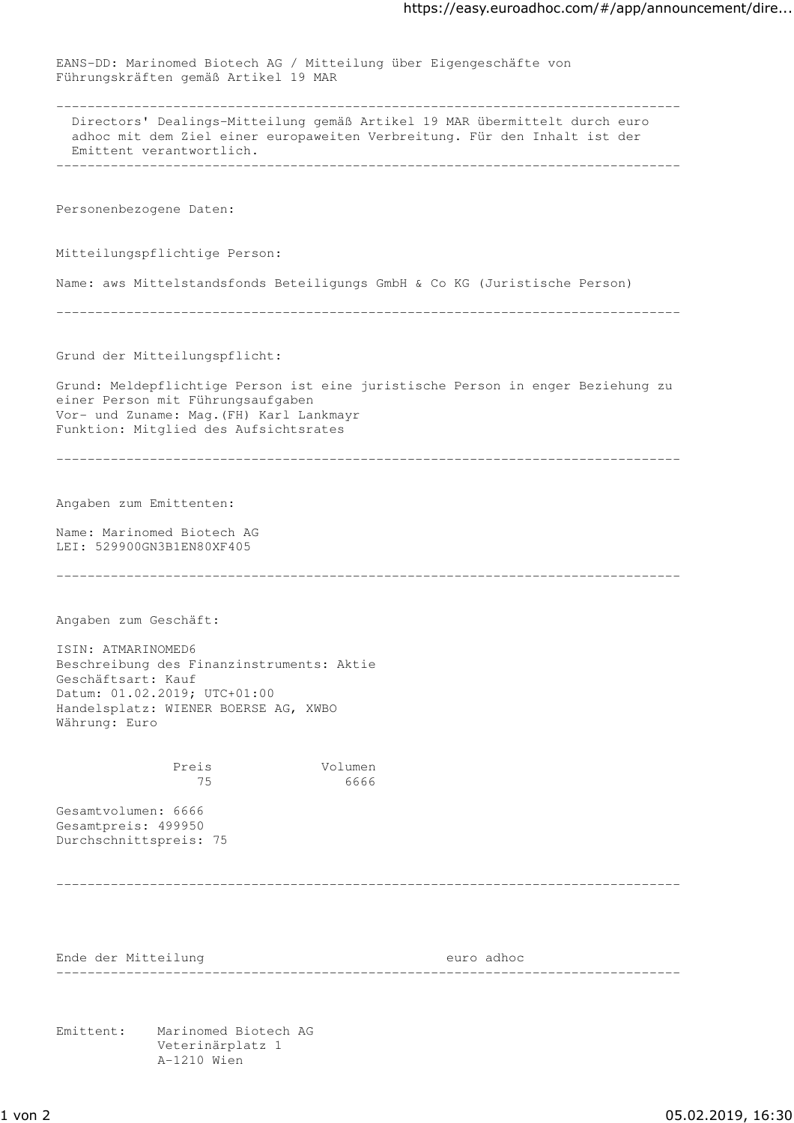EANS-DD: Marinomed Biotech AG / Mitteilung über Eigengeschäfte von Führungskräften gemäß Artikel 19 MAR -------------------------------------------------------------------------------- Directors' Dealings-Mitteilung gemäß Artikel 19 MAR übermittelt durch euro adhoc mit dem Ziel einer europaweiten Verbreitung. Für den Inhalt ist der Emittent verantwortlich. -------------------------------------------------------------------------------- Personenbezogene Daten: Mitteilungspflichtige Person: Name: aws Mittelstandsfonds Beteiligungs GmbH & Co KG (Juristische Person) -------------------------------------------------------------------------------- Grund der Mitteilungspflicht: Grund: Meldepflichtige Person ist eine juristische Person in enger Beziehung zu einer Person mit Führungsaufgaben Vor- und Zuname: Mag.(FH) Karl Lankmayr Funktion: Mitglied des Aufsichtsrates -------------------------------------------------------------------------------- Angaben zum Emittenten: Name: Marinomed Biotech AG LEI: 529900GN3B1EN80XF405 -------------------------------------------------------------------------------- Angaben zum Geschäft: ISIN: ATMARINOMED6 Beschreibung des Finanzinstruments: Aktie Geschäftsart: Kauf Datum: 01.02.2019; UTC+01:00 Handelsplatz: WIENER BOERSE AG, XWBO Währung: Euro Preis Volumen 75 6666 Gesamtvolumen: 6666 Gesamtpreis: 499950 Durchschnittspreis: 75 -------------------------------------------------------------------------------- Ende der Mitteilung euro adhoc -------------------------------------------------------------------------------- Emittent: Marinomed Biotech AG Veterinärplatz 1 A-1210 Wien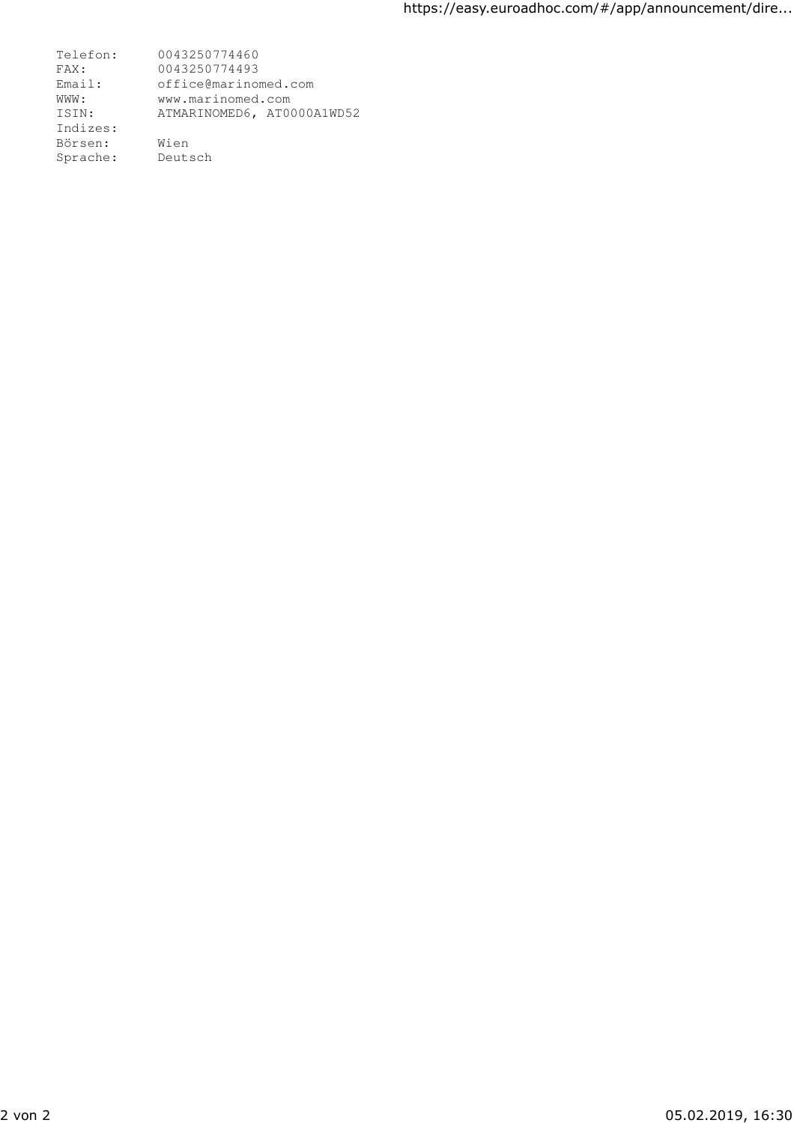Telefon: 0043250774460 FAX: 0043250774493 Email: office@marinomed.com WWW: www.marinomed.com ISIN: ATMARINOMED6, AT0000A1WD52 Indizes: Börsen: Wien Sprache: Deutsch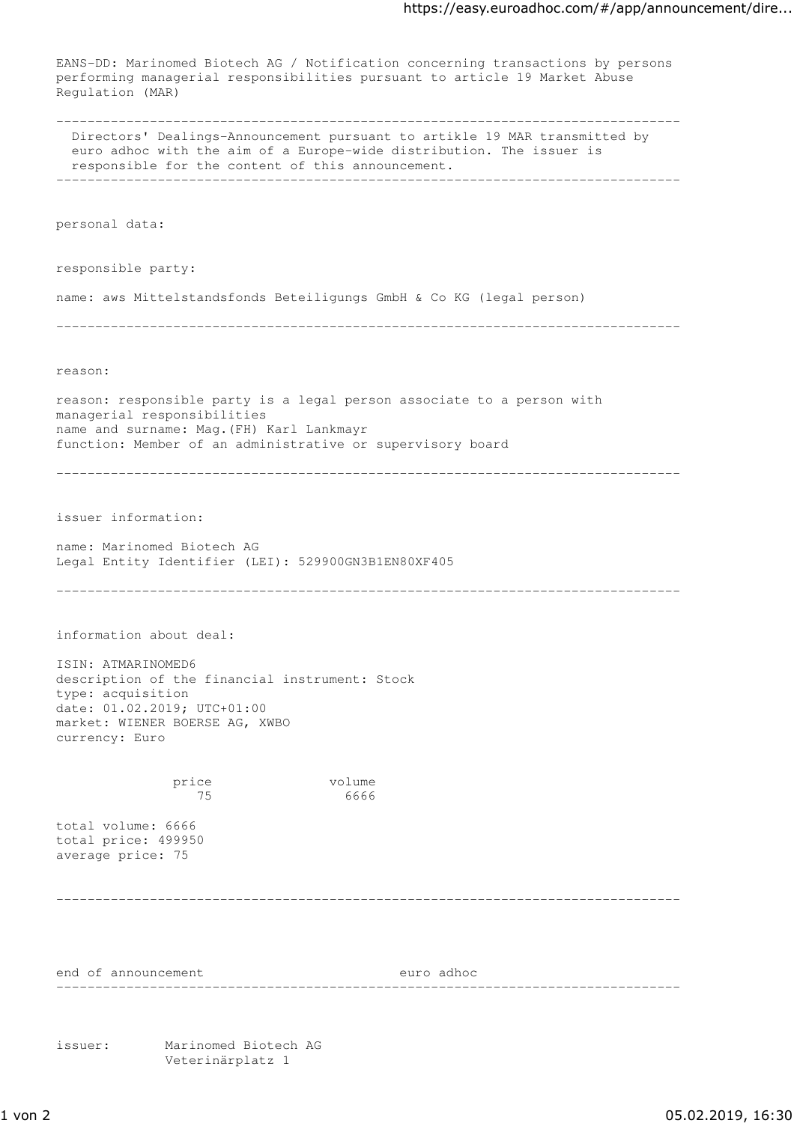EANS-DD: Marinomed Biotech AG / Notification concerning transactions by persons performing managerial responsibilities pursuant to article 19 Market Abuse Regulation (MAR) -------------------------------------------------------------------------------- Directors' Dealings-Announcement pursuant to artikle 19 MAR transmitted by euro adhoc with the aim of a Europe-wide distribution. The issuer is responsible for the content of this announcement. ------------------------------------------------------------------------------- personal data: responsible party: name: aws Mittelstandsfonds Beteiligungs GmbH & Co KG (legal person) ------------------------------------------------------------------------------- reason: reason: responsible party is a legal person associate to a person with managerial responsibilities name and surname: Mag.(FH) Karl Lankmayr function: Member of an administrative or supervisory board ------------------------------------------------------------------------------- issuer information: name: Marinomed Biotech AG Legal Entity Identifier (LEI): 529900GN3B1EN80XF405 ------------------------------------------------------------------------------- information about deal: ISIN: ATMARINOMED6 description of the financial instrument: Stock type: acquisition date: 01.02.2019; UTC+01:00 market: WIENER BOERSE AG, XWBO currency: Euro price volume 75 6666 total volume: 6666 total price: 499950 average price: 75 ------------------------------------------------------------------------------- end of announcement euro adhoc ------------------------------------------------------------------------------- issuer: Marinomed Biotech AG

Veterinärplatz 1